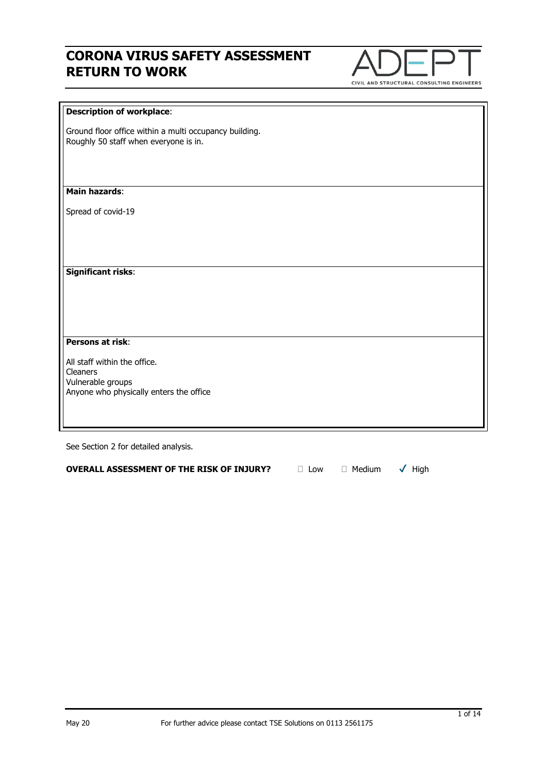

#### **Description of workplace**:

Ground floor office within a multi occupancy building. Roughly 50 staff when everyone is in.

#### **Main hazards**:

Spread of covid-19

**Significant risks**:

**Persons at risk**:

All staff within the office. Cleaners Vulnerable groups Anyone who physically enters the office

See Section 2 for detailed analysis.

**OVERALL ASSESSMENT OF THE RISK OF INJURY?** □ Low □ Medium √ High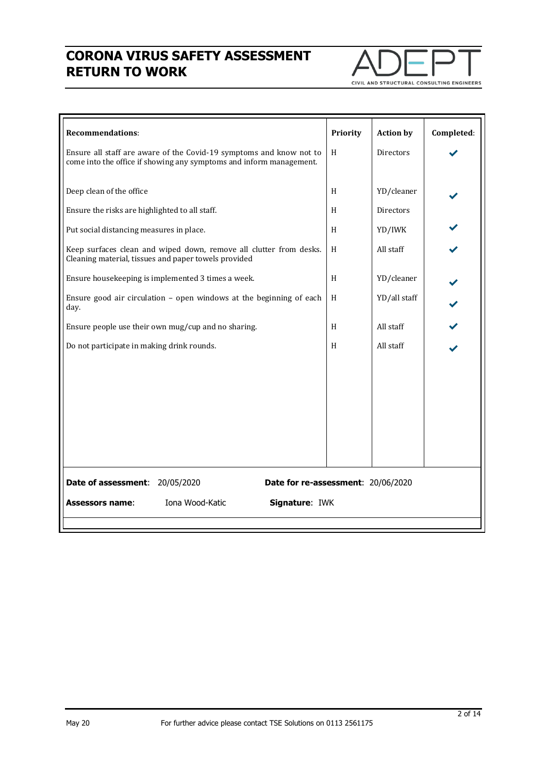

| <b>Recommendations:</b>                                                                                                                    | Priority | <b>Action by</b> | Completed: |  |  |  |
|--------------------------------------------------------------------------------------------------------------------------------------------|----------|------------------|------------|--|--|--|
| Ensure all staff are aware of the Covid-19 symptoms and know not to<br>come into the office if showing any symptoms and inform management. | H        | <b>Directors</b> |            |  |  |  |
| Deep clean of the office                                                                                                                   | H        | YD/cleaner       |            |  |  |  |
| Ensure the risks are highlighted to all staff.                                                                                             | H        | <b>Directors</b> |            |  |  |  |
| Put social distancing measures in place.                                                                                                   | H        | YD/IWK           |            |  |  |  |
| Keep surfaces clean and wiped down, remove all clutter from desks.<br>Cleaning material, tissues and paper towels provided                 | H        | All staff        |            |  |  |  |
| Ensure housekeeping is implemented 3 times a week.                                                                                         | H        | YD/cleaner       |            |  |  |  |
| Ensure good air circulation - open windows at the beginning of each<br>day.                                                                | H        | YD/all staff     |            |  |  |  |
| Ensure people use their own mug/cup and no sharing.                                                                                        | H        | All staff        |            |  |  |  |
| Do not participate in making drink rounds.                                                                                                 | H        | All staff        |            |  |  |  |
|                                                                                                                                            |          |                  |            |  |  |  |
| Date of assessment: 20/05/2020<br>Date for re-assessment: 20/06/2020                                                                       |          |                  |            |  |  |  |
| Iona Wood-Katic<br>Signature: IWK<br><b>Assessors name:</b>                                                                                |          |                  |            |  |  |  |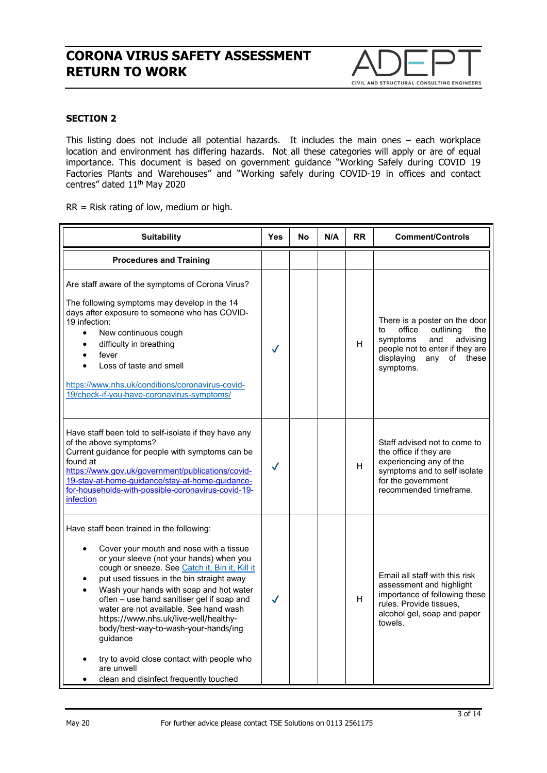

### **SECTION 2**

This listing does not include all potential hazards. It includes the main ones – each workplace location and environment has differing hazards. Not all these categories will apply or are of equal importance. This document is based on government guidance "Working Safely during COVID 19 Factories Plants and Warehouses" and "Working safely during COVID-19 in offices and contact centres" dated 11<sup>th</sup> May 2020

RR = Risk rating of low, medium or high.

| <b>Suitability</b>                                                                                                                                                                                                                                                                                                                                                                                                                                                                                                                                                    | <b>Yes</b>   | No | N/A | <b>RR</b> | <b>Comment/Controls</b>                                                                                                                                                           |
|-----------------------------------------------------------------------------------------------------------------------------------------------------------------------------------------------------------------------------------------------------------------------------------------------------------------------------------------------------------------------------------------------------------------------------------------------------------------------------------------------------------------------------------------------------------------------|--------------|----|-----|-----------|-----------------------------------------------------------------------------------------------------------------------------------------------------------------------------------|
| <b>Procedures and Training</b>                                                                                                                                                                                                                                                                                                                                                                                                                                                                                                                                        |              |    |     |           |                                                                                                                                                                                   |
| Are staff aware of the symptoms of Corona Virus?<br>The following symptoms may develop in the 14<br>days after exposure to someone who has COVID-<br>19 infection:<br>New continuous cough<br>$\bullet$<br>difficulty in breathing<br>$\bullet$<br>fever<br>Loss of taste and smell<br>https://www.nhs.uk/conditions/coronavirus-covid-<br>19/check-if-you-have-coronavirus-symptoms/                                                                                                                                                                                 | $\checkmark$ |    |     | H         | There is a poster on the door<br>office<br>outlining<br>to<br>the<br>and<br>advising<br>symptoms<br>people not to enter if they are<br>displaying<br>any<br>of these<br>symptoms. |
| Have staff been told to self-isolate if they have any<br>of the above symptoms?<br>Current guidance for people with symptoms can be<br>found at<br>https://www.gov.uk/government/publications/covid-<br>19-stay-at-home-guidance/stay-at-home-guidance-<br>for-households-with-possible-coronavirus-covid-19-<br>infection                                                                                                                                                                                                                                            | $\checkmark$ |    |     | H         | Staff advised not to come to<br>the office if they are<br>experiencing any of the<br>symptoms and to self isolate<br>for the government<br>recommended timeframe.                 |
| Have staff been trained in the following:<br>Cover your mouth and nose with a tissue<br>or your sleeve (not your hands) when you<br>cough or sneeze. See Catch it, Bin it, Kill it<br>put used tissues in the bin straight away<br>Wash your hands with soap and hot water<br>often - use hand sanitiser gel if soap and<br>water are not available. See hand wash<br>https://www.nhs.uk/live-well/healthy-<br>body/best-way-to-wash-your-hands/ing<br>guidance<br>try to avoid close contact with people who<br>are unwell<br>clean and disinfect frequently touched | $\checkmark$ |    |     | H         | Email all staff with this risk<br>assessment and highlight<br>importance of following these<br>rules. Provide tissues.<br>alcohol gel, soap and paper<br>towels.                  |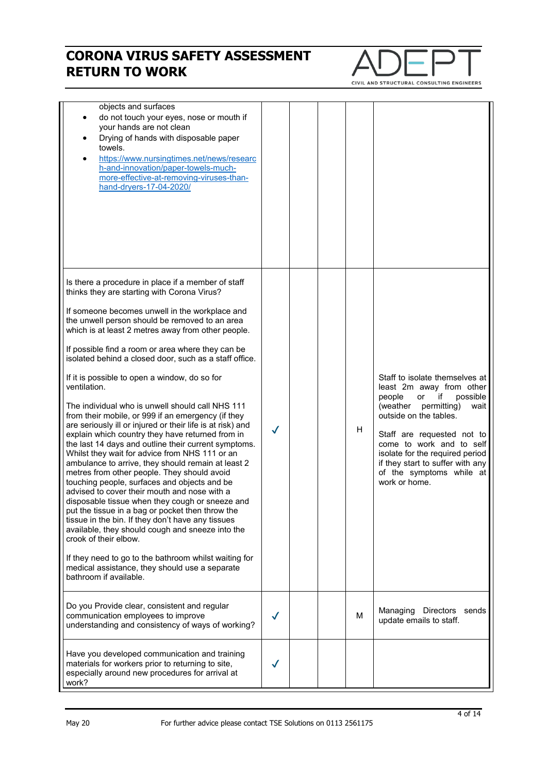

| objects and surfaces<br>do not touch your eyes, nose or mouth if<br>your hands are not clean<br>Drying of hands with disposable paper<br>towels.<br>https://www.nursingtimes.net/news/researc<br>h-and-innovation/paper-towels-much-<br>more-effective-at-removing-viruses-than-<br>hand-dryers-17-04-2020/                                                                                                                                                                                                                                                                                                                                                                                                                                                                                                                                                                                                                                                                                                                                                                                                                                                                                                                                                                                                                                                          |              |  |   |                                                                                                                                                                                                                                                                                                                                      |
|----------------------------------------------------------------------------------------------------------------------------------------------------------------------------------------------------------------------------------------------------------------------------------------------------------------------------------------------------------------------------------------------------------------------------------------------------------------------------------------------------------------------------------------------------------------------------------------------------------------------------------------------------------------------------------------------------------------------------------------------------------------------------------------------------------------------------------------------------------------------------------------------------------------------------------------------------------------------------------------------------------------------------------------------------------------------------------------------------------------------------------------------------------------------------------------------------------------------------------------------------------------------------------------------------------------------------------------------------------------------|--------------|--|---|--------------------------------------------------------------------------------------------------------------------------------------------------------------------------------------------------------------------------------------------------------------------------------------------------------------------------------------|
| Is there a procedure in place if a member of staff<br>thinks they are starting with Corona Virus?<br>If someone becomes unwell in the workplace and<br>the unwell person should be removed to an area<br>which is at least 2 metres away from other people.<br>If possible find a room or area where they can be<br>isolated behind a closed door, such as a staff office.<br>If it is possible to open a window, do so for<br>ventilation.<br>The individual who is unwell should call NHS 111<br>from their mobile, or 999 if an emergency (if they<br>are seriously ill or injured or their life is at risk) and<br>explain which country they have returned from in<br>the last 14 days and outline their current symptoms.<br>Whilst they wait for advice from NHS 111 or an<br>ambulance to arrive, they should remain at least 2<br>metres from other people. They should avoid<br>touching people, surfaces and objects and be<br>advised to cover their mouth and nose with a<br>disposable tissue when they cough or sneeze and<br>put the tissue in a bag or pocket then throw the<br>tissue in the bin. If they don't have any tissues<br>available, they should cough and sneeze into the<br>crook of their elbow.<br>If they need to go to the bathroom whilst waiting for<br>medical assistance, they should use a separate<br>bathroom if available. | $\checkmark$ |  | н | Staff to isolate themselves at<br>least 2m away from other<br>people<br>or<br>if<br>possible<br>(weather permitting)<br>wait<br>outside on the tables.<br>Staff are requested not to<br>come to work and to self<br>isolate for the required period<br>if they start to suffer with any<br>of the symptoms while at<br>work or home. |
| Do you Provide clear, consistent and regular<br>communication employees to improve<br>understanding and consistency of ways of working?                                                                                                                                                                                                                                                                                                                                                                                                                                                                                                                                                                                                                                                                                                                                                                                                                                                                                                                                                                                                                                                                                                                                                                                                                              | $\checkmark$ |  | м | Managing<br>Directors sends<br>update emails to staff.                                                                                                                                                                                                                                                                               |
| Have you developed communication and training<br>materials for workers prior to returning to site,<br>especially around new procedures for arrival at<br>work?                                                                                                                                                                                                                                                                                                                                                                                                                                                                                                                                                                                                                                                                                                                                                                                                                                                                                                                                                                                                                                                                                                                                                                                                       |              |  |   |                                                                                                                                                                                                                                                                                                                                      |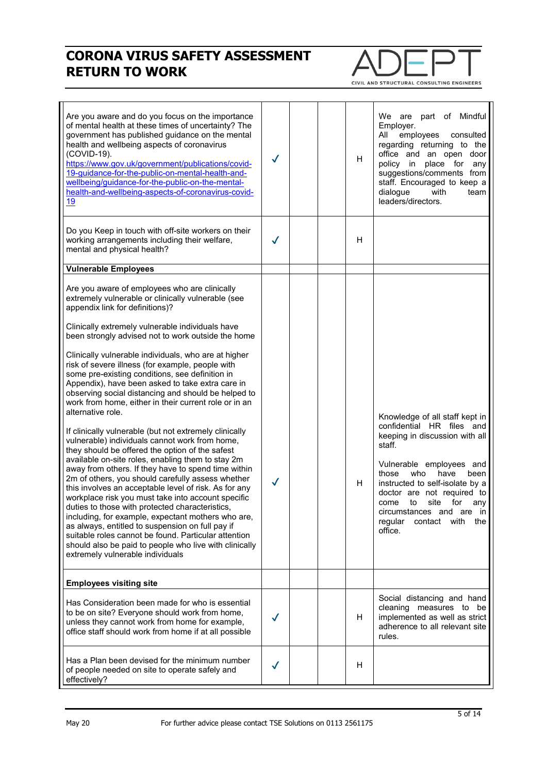

| Are you aware and do you focus on the importance<br>of mental health at these times of uncertainty? The<br>government has published guidance on the mental<br>health and wellbeing aspects of coronavirus<br>(COVID-19).<br>https://www.gov.uk/government/publications/covid-<br>19-guidance-for-the-public-on-mental-health-and-<br>wellbeing/guidance-for-the-public-on-the-mental-<br>health-and-wellbeing-aspects-of-coronavirus-covid-<br>19                                                                                                                                                                                                                                                                                                                                                                                                                                                                                                                                                                                                                                                                                                                                                                                                                                                                                                                         | ✓            |  | H | We are part of Mindful<br>Employer.<br>All<br>employees<br>consulted<br>regarding returning to the<br>office and an open door<br>policy in<br>place for<br>any<br>suggestions/comments from<br>staff. Encouraged to keep a<br>dialogue<br>with<br>team<br>leaders/directors.                                                                         |
|---------------------------------------------------------------------------------------------------------------------------------------------------------------------------------------------------------------------------------------------------------------------------------------------------------------------------------------------------------------------------------------------------------------------------------------------------------------------------------------------------------------------------------------------------------------------------------------------------------------------------------------------------------------------------------------------------------------------------------------------------------------------------------------------------------------------------------------------------------------------------------------------------------------------------------------------------------------------------------------------------------------------------------------------------------------------------------------------------------------------------------------------------------------------------------------------------------------------------------------------------------------------------------------------------------------------------------------------------------------------------|--------------|--|---|------------------------------------------------------------------------------------------------------------------------------------------------------------------------------------------------------------------------------------------------------------------------------------------------------------------------------------------------------|
| Do you Keep in touch with off-site workers on their<br>working arrangements including their welfare,<br>mental and physical health?                                                                                                                                                                                                                                                                                                                                                                                                                                                                                                                                                                                                                                                                                                                                                                                                                                                                                                                                                                                                                                                                                                                                                                                                                                       |              |  | H |                                                                                                                                                                                                                                                                                                                                                      |
| <b>Vulnerable Employees</b>                                                                                                                                                                                                                                                                                                                                                                                                                                                                                                                                                                                                                                                                                                                                                                                                                                                                                                                                                                                                                                                                                                                                                                                                                                                                                                                                               |              |  |   |                                                                                                                                                                                                                                                                                                                                                      |
| Are you aware of employees who are clinically<br>extremely vulnerable or clinically vulnerable (see<br>appendix link for definitions)?<br>Clinically extremely vulnerable individuals have<br>been strongly advised not to work outside the home<br>Clinically vulnerable individuals, who are at higher<br>risk of severe illness (for example, people with<br>some pre-existing conditions, see definition in<br>Appendix), have been asked to take extra care in<br>observing social distancing and should be helped to<br>work from home, either in their current role or in an<br>alternative role.<br>If clinically vulnerable (but not extremely clinically<br>vulnerable) individuals cannot work from home,<br>they should be offered the option of the safest<br>available on-site roles, enabling them to stay 2m<br>away from others. If they have to spend time within<br>2m of others, you should carefully assess whether<br>this involves an acceptable level of risk. As for any<br>workplace risk you must take into account specific<br>duties to those with protected characteristics<br>including, for example, expectant mothers who are,<br>as always, entitled to suspension on full pay if<br>suitable roles cannot be found. Particular attention<br>should also be paid to people who live with clinically<br>extremely vulnerable individuals | $\checkmark$ |  | н | Knowledge of all staff kept in<br>confidential HR files and<br>keeping in discussion with all<br>staff.<br>Vulnerable employees and<br>have<br>those<br>who<br>been<br>instructed to self-isolate by a<br>doctor are not required to<br>site<br>for<br>come<br>to<br>any<br>circumstances and are in<br>regular<br>contact<br>with<br>the<br>office. |
| <b>Employees visiting site</b>                                                                                                                                                                                                                                                                                                                                                                                                                                                                                                                                                                                                                                                                                                                                                                                                                                                                                                                                                                                                                                                                                                                                                                                                                                                                                                                                            |              |  |   |                                                                                                                                                                                                                                                                                                                                                      |
| Has Consideration been made for who is essential<br>to be on site? Everyone should work from home,<br>unless they cannot work from home for example,<br>office staff should work from home if at all possible                                                                                                                                                                                                                                                                                                                                                                                                                                                                                                                                                                                                                                                                                                                                                                                                                                                                                                                                                                                                                                                                                                                                                             |              |  | H | Social distancing and hand<br>cleaning measures to be<br>implemented as well as strict<br>adherence to all relevant site<br>rules.                                                                                                                                                                                                                   |
| Has a Plan been devised for the minimum number<br>of people needed on site to operate safely and<br>effectively?                                                                                                                                                                                                                                                                                                                                                                                                                                                                                                                                                                                                                                                                                                                                                                                                                                                                                                                                                                                                                                                                                                                                                                                                                                                          |              |  | H |                                                                                                                                                                                                                                                                                                                                                      |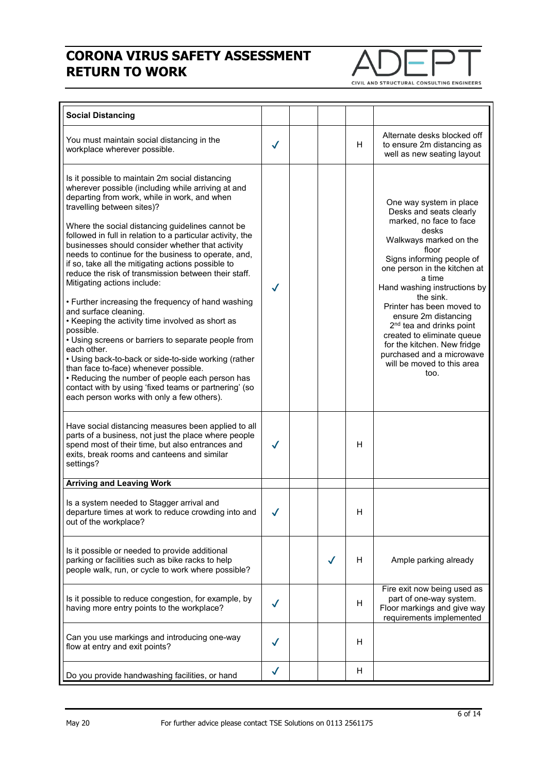

| <b>Social Distancing</b>                                                                                                                                                                                                                                                                                                                                                                                                                                                                                                                                                                                                                                                                                                                                                                                                                                                                                                                                                                                                                       |              |  |   |                                                                                                                                                                                                                                                                                                                                                                                                                                                                            |
|------------------------------------------------------------------------------------------------------------------------------------------------------------------------------------------------------------------------------------------------------------------------------------------------------------------------------------------------------------------------------------------------------------------------------------------------------------------------------------------------------------------------------------------------------------------------------------------------------------------------------------------------------------------------------------------------------------------------------------------------------------------------------------------------------------------------------------------------------------------------------------------------------------------------------------------------------------------------------------------------------------------------------------------------|--------------|--|---|----------------------------------------------------------------------------------------------------------------------------------------------------------------------------------------------------------------------------------------------------------------------------------------------------------------------------------------------------------------------------------------------------------------------------------------------------------------------------|
| You must maintain social distancing in the<br>workplace wherever possible.                                                                                                                                                                                                                                                                                                                                                                                                                                                                                                                                                                                                                                                                                                                                                                                                                                                                                                                                                                     | $\checkmark$ |  | H | Alternate desks blocked off<br>to ensure 2m distancing as<br>well as new seating layout                                                                                                                                                                                                                                                                                                                                                                                    |
| Is it possible to maintain 2m social distancing<br>wherever possible (including while arriving at and<br>departing from work, while in work, and when<br>travelling between sites)?<br>Where the social distancing guidelines cannot be<br>followed in full in relation to a particular activity, the<br>businesses should consider whether that activity<br>needs to continue for the business to operate, and,<br>if so, take all the mitigating actions possible to<br>reduce the risk of transmission between their staff.<br>Mitigating actions include:<br>• Further increasing the frequency of hand washing<br>and surface cleaning.<br>• Keeping the activity time involved as short as<br>possible.<br>• Using screens or barriers to separate people from<br>each other.<br>• Using back-to-back or side-to-side working (rather<br>than face to-face) whenever possible.<br>• Reducing the number of people each person has<br>contact with by using 'fixed teams or partnering' (so<br>each person works with only a few others). | $\checkmark$ |  |   | One way system in place<br>Desks and seats clearly<br>marked, no face to face<br>desks<br>Walkways marked on the<br>floor<br>Signs informing people of<br>one person in the kitchen at<br>a time<br>Hand washing instructions by<br>the sink.<br>Printer has been moved to<br>ensure 2m distancing<br>2 <sup>nd</sup> tea and drinks point<br>created to eliminate queue<br>for the kitchen. New fridge<br>purchased and a microwave<br>will be moved to this area<br>too. |
| Have social distancing measures been applied to all<br>parts of a business, not just the place where people<br>spend most of their time, but also entrances and<br>exits, break rooms and canteens and similar<br>settings?                                                                                                                                                                                                                                                                                                                                                                                                                                                                                                                                                                                                                                                                                                                                                                                                                    |              |  | H |                                                                                                                                                                                                                                                                                                                                                                                                                                                                            |
| <b>Arriving and Leaving Work</b>                                                                                                                                                                                                                                                                                                                                                                                                                                                                                                                                                                                                                                                                                                                                                                                                                                                                                                                                                                                                               |              |  |   |                                                                                                                                                                                                                                                                                                                                                                                                                                                                            |
| Is a system needed to Stagger arrival and<br>departure times at work to reduce crowding into and<br>out of the workplace?                                                                                                                                                                                                                                                                                                                                                                                                                                                                                                                                                                                                                                                                                                                                                                                                                                                                                                                      |              |  | H |                                                                                                                                                                                                                                                                                                                                                                                                                                                                            |
| Is it possible or needed to provide additional<br>parking or facilities such as bike racks to help<br>people walk, run, or cycle to work where possible?                                                                                                                                                                                                                                                                                                                                                                                                                                                                                                                                                                                                                                                                                                                                                                                                                                                                                       |              |  | н | Ample parking already                                                                                                                                                                                                                                                                                                                                                                                                                                                      |
| Is it possible to reduce congestion, for example, by<br>having more entry points to the workplace?                                                                                                                                                                                                                                                                                                                                                                                                                                                                                                                                                                                                                                                                                                                                                                                                                                                                                                                                             |              |  | H | Fire exit now being used as<br>part of one-way system.<br>Floor markings and give way<br>requirements implemented                                                                                                                                                                                                                                                                                                                                                          |
| Can you use markings and introducing one-way<br>flow at entry and exit points?                                                                                                                                                                                                                                                                                                                                                                                                                                                                                                                                                                                                                                                                                                                                                                                                                                                                                                                                                                 |              |  | H |                                                                                                                                                                                                                                                                                                                                                                                                                                                                            |
| Do you provide handwashing facilities, or hand                                                                                                                                                                                                                                                                                                                                                                                                                                                                                                                                                                                                                                                                                                                                                                                                                                                                                                                                                                                                 |              |  | H |                                                                                                                                                                                                                                                                                                                                                                                                                                                                            |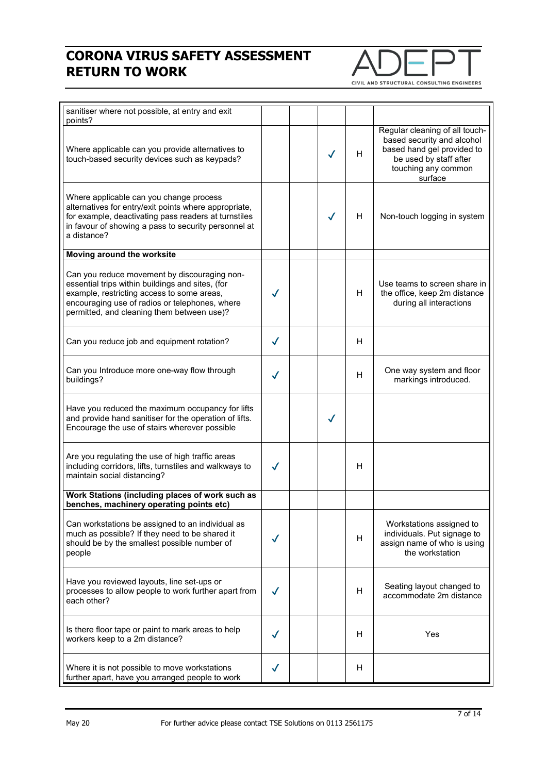

| sanitiser where not possible, at entry and exit<br>points?                                                                                                                                                                                     |              |              |    |                                                                                                                                                        |
|------------------------------------------------------------------------------------------------------------------------------------------------------------------------------------------------------------------------------------------------|--------------|--------------|----|--------------------------------------------------------------------------------------------------------------------------------------------------------|
| Where applicable can you provide alternatives to<br>touch-based security devices such as keypads?                                                                                                                                              |              | $\checkmark$ | H. | Regular cleaning of all touch-<br>based security and alcohol<br>based hand gel provided to<br>be used by staff after<br>touching any common<br>surface |
| Where applicable can you change process<br>alternatives for entry/exit points where appropriate,<br>for example, deactivating pass readers at turnstiles<br>in favour of showing a pass to security personnel at<br>a distance?                |              | $\checkmark$ | H. | Non-touch logging in system                                                                                                                            |
| Moving around the worksite                                                                                                                                                                                                                     |              |              |    |                                                                                                                                                        |
| Can you reduce movement by discouraging non-<br>essential trips within buildings and sites, (for<br>example, restricting access to some areas,<br>encouraging use of radios or telephones, where<br>permitted, and cleaning them between use)? | $\checkmark$ |              | H  | Use teams to screen share in<br>the office, keep 2m distance<br>during all interactions                                                                |
| Can you reduce job and equipment rotation?                                                                                                                                                                                                     | ✓            |              | H  |                                                                                                                                                        |
| Can you Introduce more one-way flow through<br>buildings?                                                                                                                                                                                      | ✓            |              | H  | One way system and floor<br>markings introduced.                                                                                                       |
| Have you reduced the maximum occupancy for lifts<br>and provide hand sanitiser for the operation of lifts.<br>Encourage the use of stairs wherever possible                                                                                    |              | $\checkmark$ |    |                                                                                                                                                        |
| Are you regulating the use of high traffic areas<br>including corridors, lifts, turnstiles and walkways to<br>maintain social distancing?                                                                                                      |              |              | H  |                                                                                                                                                        |
| Work Stations (including places of work such as<br>benches, machinery operating points etc)                                                                                                                                                    |              |              |    |                                                                                                                                                        |
| Can workstations be assigned to an individual as<br>much as possible? If they need to be shared it<br>should be by the smallest possible number of<br>people                                                                                   |              |              | H  | Workstations assigned to<br>individuals. Put signage to<br>assign name of who is using<br>the workstation                                              |
| Have you reviewed layouts, line set-ups or<br>processes to allow people to work further apart from<br>each other?                                                                                                                              |              |              | H. | Seating layout changed to<br>accommodate 2m distance                                                                                                   |
| Is there floor tape or paint to mark areas to help<br>workers keep to a 2m distance?                                                                                                                                                           | J            |              | H  | Yes                                                                                                                                                    |
| Where it is not possible to move workstations<br>further apart, have you arranged people to work                                                                                                                                               | ✓            |              | H  |                                                                                                                                                        |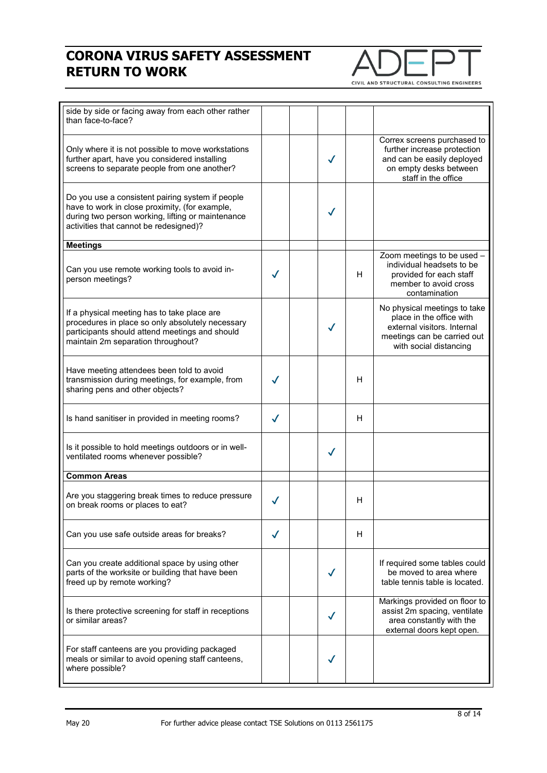

| side by side or facing away from each other rather<br>than face-to-face?                                                                                                                          |   |              |    |                                                                                                                                                  |
|---------------------------------------------------------------------------------------------------------------------------------------------------------------------------------------------------|---|--------------|----|--------------------------------------------------------------------------------------------------------------------------------------------------|
| Only where it is not possible to move workstations<br>further apart, have you considered installing<br>screens to separate people from one another?                                               |   | $\checkmark$ |    | Correx screens purchased to<br>further increase protection<br>and can be easily deployed<br>on empty desks between<br>staff in the office        |
| Do you use a consistent pairing system if people<br>have to work in close proximity, (for example,<br>during two person working, lifting or maintenance<br>activities that cannot be redesigned)? |   | $\checkmark$ |    |                                                                                                                                                  |
| <b>Meetings</b>                                                                                                                                                                                   |   |              |    |                                                                                                                                                  |
| Can you use remote working tools to avoid in-<br>person meetings?                                                                                                                                 |   |              | H  | Zoom meetings to be used -<br>individual headsets to be<br>provided for each staff<br>member to avoid cross<br>contamination                     |
| If a physical meeting has to take place are<br>procedures in place so only absolutely necessary<br>participants should attend meetings and should<br>maintain 2m separation throughout?           |   | $\checkmark$ |    | No physical meetings to take<br>place in the office with<br>external visitors, Internal<br>meetings can be carried out<br>with social distancing |
| Have meeting attendees been told to avoid<br>transmission during meetings, for example, from<br>sharing pens and other objects?                                                                   |   |              | H  |                                                                                                                                                  |
| Is hand sanitiser in provided in meeting rooms?                                                                                                                                                   | ✓ |              | H  |                                                                                                                                                  |
| Is it possible to hold meetings outdoors or in well-<br>ventilated rooms whenever possible?                                                                                                       |   | ✓            |    |                                                                                                                                                  |
| <b>Common Areas</b>                                                                                                                                                                               |   |              |    |                                                                                                                                                  |
| Are you staggering break times to reduce pressure<br>on break rooms or places to eat?                                                                                                             |   |              | н  |                                                                                                                                                  |
| Can you use safe outside areas for breaks?                                                                                                                                                        | √ |              | H. |                                                                                                                                                  |
| Can you create additional space by using other<br>parts of the worksite or building that have been<br>freed up by remote working?                                                                 |   | ✓            |    | If required some tables could<br>be moved to area where<br>table tennis table is located.                                                        |
| Is there protective screening for staff in receptions<br>or similar areas?                                                                                                                        |   |              |    | Markings provided on floor to<br>assist 2m spacing, ventilate<br>area constantly with the<br>external doors kept open.                           |
| For staff canteens are you providing packaged<br>meals or similar to avoid opening staff canteens,<br>where possible?                                                                             |   |              |    |                                                                                                                                                  |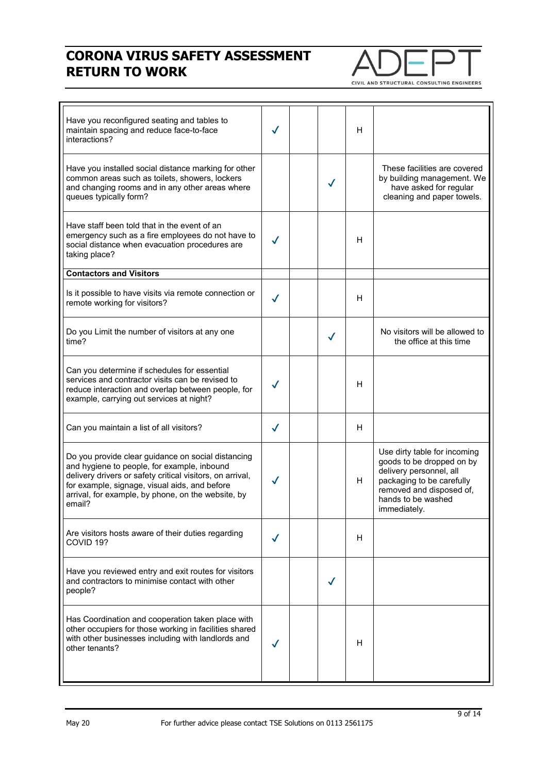

Have you reconfigured seating and tables to maintain spacing and reduce face-to-face interactions? ✔ H Have you installed social distance marking for other common areas such as toilets, showers, lockers and changing rooms and in any other areas where queues typically form? ✔ These facilities are covered by building management. We have asked for regular cleaning and paper towels. Have staff been told that in the event of an emergency such as a fire employees do not have to social distance when evacuation procedures are taking place? ✔ H **Contactors and Visitors** Is it possible to have visits via remote connection or is it possible to have visits via remote connection or  $\mathcal{V}$   $\mathcal{V}$   $\mathcal{V}$   $\mathcal{V}$   $\mathcal{H}$ Do you Limit the number of visitors at any one  $\begin{array}{c|c} \downarrow \downarrow \downarrow \downarrow \downarrow \end{array}$  No visitors will be allowed to the office at this time the office at this time Can you determine if schedules for essential services and contractor visits can be revised to reduce interaction and overlap between people, for example, carrying out services at night? ✔ H Can you maintain a list of all visitors?  $\|\n\mathcal{J}\|$   $\|\n\mathcal{J}\|$  H Do you provide clear guidance on social distancing and hygiene to people, for example, inbound delivery drivers or safety critical visitors, on arrival, for example, signage, visual aids, and before arrival, for example, by phone, on the website, by email? ✔ H Use dirty table for incoming goods to be dropped on by delivery personnel, all packaging to be carefully removed and disposed of, hands to be washed immediately. Are visitors hosts aware of their duties regarding  $\begin{array}{c|c|c|c|c|c} \text{Aie} & \text{Vis} & \text{Aiv.} \end{array}$  H COVID 19? Have you reviewed entry and exit routes for visitors and contractors to minimise contact with other people?  $\checkmark$ Has Coordination and cooperation taken place with other occupiers for those working in facilities shared with other businesses including with landlords and other tenants? ✔ <sup>H</sup>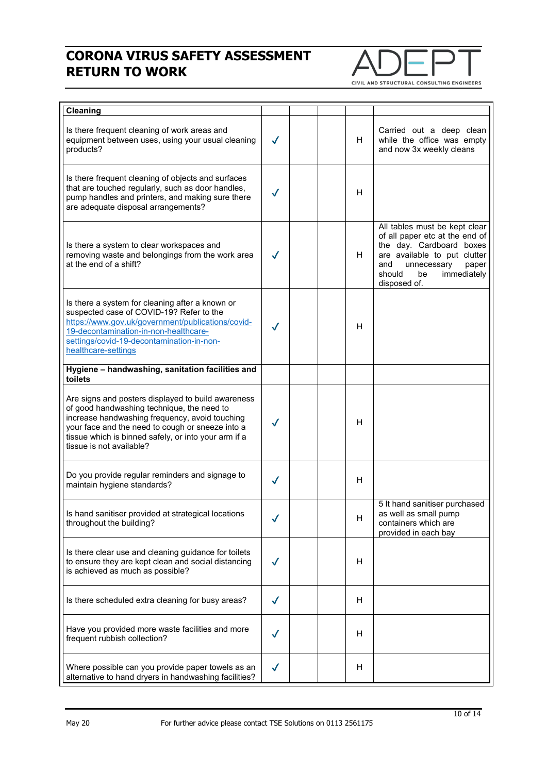

| Cleaning                                                                                                                                                                                                                                                                                   |              |  |    |                                                                                                                                                                                                           |
|--------------------------------------------------------------------------------------------------------------------------------------------------------------------------------------------------------------------------------------------------------------------------------------------|--------------|--|----|-----------------------------------------------------------------------------------------------------------------------------------------------------------------------------------------------------------|
| Is there frequent cleaning of work areas and<br>equipment between uses, using your usual cleaning<br>products?                                                                                                                                                                             | $\checkmark$ |  | H. | Carried out a deep clean<br>while the office was empty<br>and now 3x weekly cleans                                                                                                                        |
| Is there frequent cleaning of objects and surfaces<br>that are touched regularly, such as door handles,<br>pump handles and printers, and making sure there<br>are adequate disposal arrangements?                                                                                         |              |  | н  |                                                                                                                                                                                                           |
| Is there a system to clear workspaces and<br>removing waste and belongings from the work area<br>at the end of a shift?                                                                                                                                                                    | $\checkmark$ |  | H  | All tables must be kept clear<br>of all paper etc at the end of<br>the day. Cardboard boxes<br>are available to put clutter<br>unnecessary<br>and<br>paper<br>should<br>immediately<br>be<br>disposed of. |
| Is there a system for cleaning after a known or<br>suspected case of COVID-19? Refer to the<br>https://www.gov.uk/government/publications/covid-<br>19-decontamination-in-non-healthcare-<br>settings/covid-19-decontamination-in-non-<br>healthcare-settings                              |              |  | H  |                                                                                                                                                                                                           |
| Hygiene - handwashing, sanitation facilities and<br>toilets                                                                                                                                                                                                                                |              |  |    |                                                                                                                                                                                                           |
| Are signs and posters displayed to build awareness<br>of good handwashing technique, the need to<br>increase handwashing frequency, avoid touching<br>your face and the need to cough or sneeze into a<br>tissue which is binned safely, or into your arm if a<br>tissue is not available? |              |  | н  |                                                                                                                                                                                                           |
| Do you provide regular reminders and signage to<br>maintain hygiene standards?                                                                                                                                                                                                             | $\checkmark$ |  | H  |                                                                                                                                                                                                           |
| Is hand sanitiser provided at strategical locations<br>throughout the building?                                                                                                                                                                                                            |              |  | H  | 5 It hand sanitiser purchased<br>as well as small pump<br>containers which are<br>provided in each bay                                                                                                    |
| Is there clear use and cleaning guidance for toilets<br>to ensure they are kept clean and social distancing<br>is achieved as much as possible?                                                                                                                                            |              |  | H  |                                                                                                                                                                                                           |
| Is there scheduled extra cleaning for busy areas?                                                                                                                                                                                                                                          |              |  | H  |                                                                                                                                                                                                           |
| Have you provided more waste facilities and more<br>frequent rubbish collection?                                                                                                                                                                                                           |              |  | H  |                                                                                                                                                                                                           |
| Where possible can you provide paper towels as an<br>alternative to hand dryers in handwashing facilities?                                                                                                                                                                                 | $\checkmark$ |  | H  |                                                                                                                                                                                                           |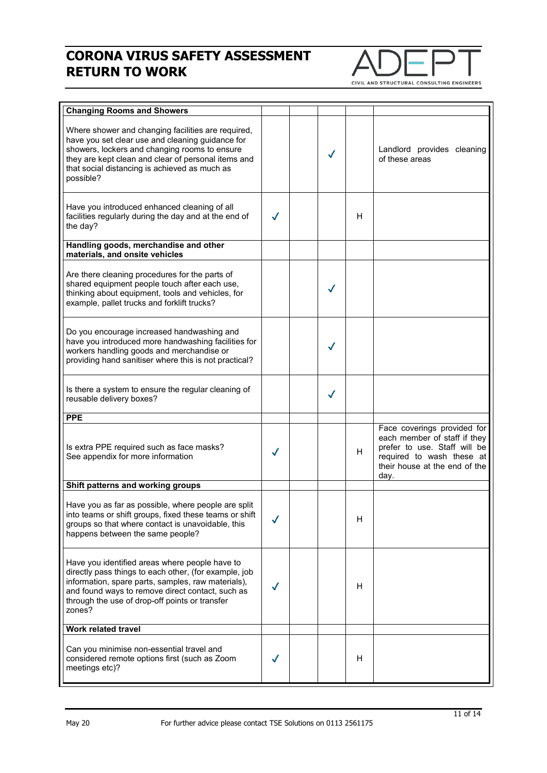

| <b>Changing Rooms and Showers</b>                                                                                                                                                                                                                                             |   |              |    |                                                                                                                                                                   |
|-------------------------------------------------------------------------------------------------------------------------------------------------------------------------------------------------------------------------------------------------------------------------------|---|--------------|----|-------------------------------------------------------------------------------------------------------------------------------------------------------------------|
| Where shower and changing facilities are required,<br>have you set clear use and cleaning guidance for<br>showers, lockers and changing rooms to ensure<br>they are kept clean and clear of personal items and<br>that social distancing is achieved as much as<br>possible?  |   | ✓            |    | Landlord provides cleaning<br>of these areas                                                                                                                      |
| Have you introduced enhanced cleaning of all<br>facilities regularly during the day and at the end of<br>the day?                                                                                                                                                             |   |              | H  |                                                                                                                                                                   |
| Handling goods, merchandise and other<br>materials, and onsite vehicles                                                                                                                                                                                                       |   |              |    |                                                                                                                                                                   |
| Are there cleaning procedures for the parts of<br>shared equipment people touch after each use,<br>thinking about equipment, tools and vehicles, for<br>example, pallet trucks and forklift trucks?                                                                           |   | $\checkmark$ |    |                                                                                                                                                                   |
| Do you encourage increased handwashing and<br>have you introduced more handwashing facilities for<br>workers handling goods and merchandise or<br>providing hand sanitiser where this is not practical?                                                                       |   | √            |    |                                                                                                                                                                   |
| Is there a system to ensure the regular cleaning of<br>reusable delivery boxes?                                                                                                                                                                                               |   | ✓            |    |                                                                                                                                                                   |
| <b>PPE</b>                                                                                                                                                                                                                                                                    |   |              |    |                                                                                                                                                                   |
| Is extra PPE required such as face masks?<br>See appendix for more information                                                                                                                                                                                                | ✓ |              | H. | Face coverings provided for<br>each member of staff if they<br>prefer to use. Staff will be<br>required to wash these at<br>their house at the end of the<br>day. |
| Shift patterns and working groups                                                                                                                                                                                                                                             |   |              |    |                                                                                                                                                                   |
| Have you as far as possible, where people are split<br>into teams or shift groups, fixed these teams or shift<br>groups so that where contact is unavoidable, this<br>happens between the same people?                                                                        |   |              | H  |                                                                                                                                                                   |
| Have you identified areas where people have to<br>directly pass things to each other, (for example, job<br>information, spare parts, samples, raw materials),<br>and found ways to remove direct contact, such as<br>through the use of drop-off points or transfer<br>zones? |   |              | H. |                                                                                                                                                                   |
| Work related travel                                                                                                                                                                                                                                                           |   |              |    |                                                                                                                                                                   |
| Can you minimise non-essential travel and<br>considered remote options first (such as Zoom<br>meetings etc)?                                                                                                                                                                  |   |              | H. |                                                                                                                                                                   |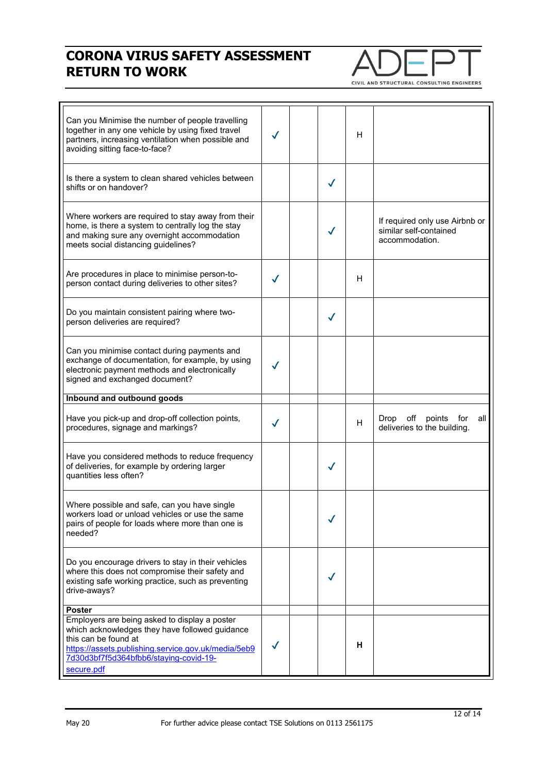

| Can you Minimise the number of people travelling<br>together in any one vehicle by using fixed travel<br>partners, increasing ventilation when possible and<br>avoiding sitting face-to-face?                                                           | ✓            |              | H |                                                                            |
|---------------------------------------------------------------------------------------------------------------------------------------------------------------------------------------------------------------------------------------------------------|--------------|--------------|---|----------------------------------------------------------------------------|
| Is there a system to clean shared vehicles between<br>shifts or on handover?                                                                                                                                                                            |              | $\checkmark$ |   |                                                                            |
| Where workers are required to stay away from their<br>home, is there a system to centrally log the stay<br>and making sure any overnight accommodation<br>meets social distancing guidelines?                                                           |              |              |   | If required only use Airbnb or<br>similar self-contained<br>accommodation. |
| Are procedures in place to minimise person-to-<br>person contact during deliveries to other sites?                                                                                                                                                      | $\checkmark$ |              | н |                                                                            |
| Do you maintain consistent pairing where two-<br>person deliveries are required?                                                                                                                                                                        |              | $\checkmark$ |   |                                                                            |
| Can you minimise contact during payments and<br>exchange of documentation, for example, by using<br>electronic payment methods and electronically<br>signed and exchanged document?                                                                     | $\checkmark$ |              |   |                                                                            |
| Inbound and outbound goods                                                                                                                                                                                                                              |              |              |   |                                                                            |
| Have you pick-up and drop-off collection points,<br>procedures, signage and markings?                                                                                                                                                                   | ✓            |              | H | off<br><b>Drop</b><br>points<br>for<br>all<br>deliveries to the building.  |
| Have you considered methods to reduce frequency<br>of deliveries, for example by ordering larger<br>quantities less often?                                                                                                                              |              | $\checkmark$ |   |                                                                            |
| Where possible and safe, can you have single<br>workers load or unload vehicles or use the same<br>pairs of people for loads where more than one is<br>needed?                                                                                          |              |              |   |                                                                            |
| Do you encourage drivers to stay in their vehicles<br>where this does not compromise their safety and<br>existing safe working practice, such as preventing<br>drive-aways?                                                                             |              |              |   |                                                                            |
| <b>Poster</b><br>Employers are being asked to display a poster<br>which acknowledges they have followed guidance<br>this can be found at<br>https://assets.publishing.service.gov.uk/media/5eb9<br>7d30d3bf7f5d364bfbb6/staying-covid-19-<br>secure.pdf |              |              | н |                                                                            |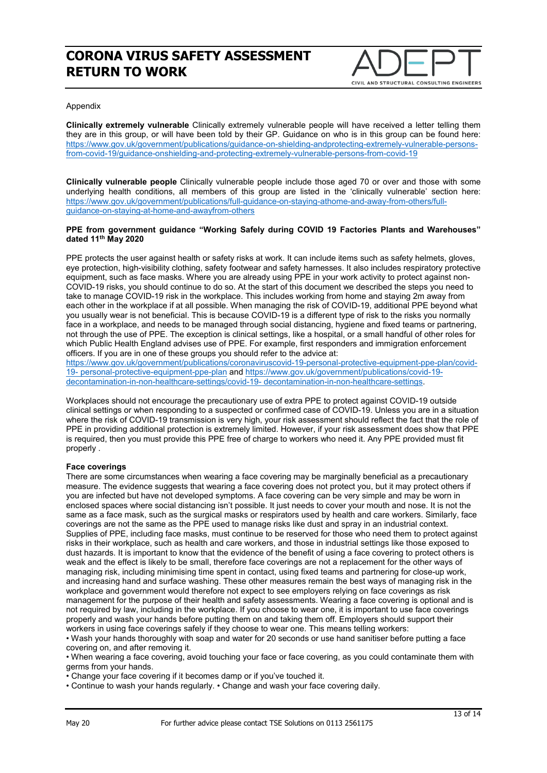

#### Appendix

**Clinically extremely vulnerable** Clinically extremely vulnerable people will have received a letter telling them they are in this group, or will have been told by their GP. Guidance on who is in this group can be found here: [https://www.gov.uk/government/publications/guidance-on-shielding-andprotecting-extremely-vulnerable-persons](https://www.gov.uk/government/publications/guidance-on-shielding-andprotecting-extremely-vulnerable-persons-from-covid-19/guidance-onshielding-and-protecting-extremely-vulnerable-persons-from-covid-19)[from-covid-19/guidance-onshielding-and-protecting-extremely-vulnerable-persons-from-covid-19](https://www.gov.uk/government/publications/guidance-on-shielding-andprotecting-extremely-vulnerable-persons-from-covid-19/guidance-onshielding-and-protecting-extremely-vulnerable-persons-from-covid-19)

**Clinically vulnerable people** Clinically vulnerable people include those aged 70 or over and those with some underlying health conditions, all members of this group are listed in the 'clinically vulnerable' section here: [https://www.gov.uk/government/publications/full-guidance-on-staying-athome-and-away-from-others/full](https://www.gov.uk/government/publications/full-guidance-on-staying-athome-and-away-from-others/full-guidance-on-staying-at-home-and-awayfrom-others)[guidance-on-staying-at-home-and-awayfrom-others](https://www.gov.uk/government/publications/full-guidance-on-staying-athome-and-away-from-others/full-guidance-on-staying-at-home-and-awayfrom-others)

#### **PPE from government guidance "Working Safely during COVID 19 Factories Plants and Warehouses" dated 11th May 2020**

PPE protects the user against health or safety risks at work. It can include items such as safety helmets, gloves, eye protection, high-visibility clothing, safety footwear and safety harnesses. It also includes respiratory protective equipment, such as face masks. Where you are already using PPE in your work activity to protect against non-COVID-19 risks, you should continue to do so. At the start of this document we described the steps you need to take to manage COVID-19 risk in the workplace. This includes working from home and staying 2m away from each other in the workplace if at all possible. When managing the risk of COVID-19, additional PPE beyond what you usually wear is not beneficial. This is because COVID-19 is a different type of risk to the risks you normally face in a workplace, and needs to be managed through social distancing, hygiene and fixed teams or partnering, not through the use of PPE. The exception is clinical settings, like a hospital, or a small handful of other roles for which Public Health England advises use of PPE. For example, first responders and immigration enforcement officers. If you are in one of these groups you should refer to the advice at:

[https://www.gov.uk/government/publications/coronaviruscovid-19-personal-protective-equipment-ppe-plan/covid-](https://www.gov.uk/government/publications/coronaviruscovid-19-personal-protective-equipment-ppe-plan/covid-19-%20personal-protective-equipment-ppe-plan)19- [personal-protective-equipment-ppe-plan](https://www.gov.uk/government/publications/coronaviruscovid-19-personal-protective-equipment-ppe-plan/covid-19-%20personal-protective-equipment-ppe-plan) and [https://www.gov.uk/government/publications/covid-19](https://www.gov.uk/government/publications/covid-19-%20decontamination-in-non-healthcare-settings/covid-19-%20decontamination-in-non-healthcare-settings) [decontamination-in-non-healthcare-settings/covid-19-](https://www.gov.uk/government/publications/covid-19-%20decontamination-in-non-healthcare-settings/covid-19-%20decontamination-in-non-healthcare-settings) decontamination-in-non-healthcare-settings.

Workplaces should not encourage the precautionary use of extra PPE to protect against COVID-19 outside clinical settings or when responding to a suspected or confirmed case of COVID-19. Unless you are in a situation where the risk of COVID-19 transmission is very high, your risk assessment should reflect the fact that the role of PPE in providing additional protection is extremely limited. However, if your risk assessment does show that PPE is required, then you must provide this PPE free of charge to workers who need it. Any PPE provided must fit properly .

#### **Face coverings**

There are some circumstances when wearing a face covering may be marginally beneficial as a precautionary measure. The evidence suggests that wearing a face covering does not protect you, but it may protect others if you are infected but have not developed symptoms. A face covering can be very simple and may be worn in enclosed spaces where social distancing isn't possible. It just needs to cover your mouth and nose. It is not the same as a face mask, such as the surgical masks or respirators used by health and care workers. Similarly, face coverings are not the same as the PPE used to manage risks like dust and spray in an industrial context. Supplies of PPE, including face masks, must continue to be reserved for those who need them to protect against risks in their workplace, such as health and care workers, and those in industrial settings like those exposed to dust hazards. It is important to know that the evidence of the benefit of using a face covering to protect others is weak and the effect is likely to be small, therefore face coverings are not a replacement for the other ways of managing risk, including minimising time spent in contact, using fixed teams and partnering for close-up work, and increasing hand and surface washing. These other measures remain the best ways of managing risk in the workplace and government would therefore not expect to see employers relying on face coverings as risk management for the purpose of their health and safety assessments. Wearing a face covering is optional and is not required by law, including in the workplace. If you choose to wear one, it is important to use face coverings properly and wash your hands before putting them on and taking them off. Employers should support their workers in using face coverings safely if they choose to wear one. This means telling workers:

• Wash your hands thoroughly with soap and water for 20 seconds or use hand sanitiser before putting a face covering on, and after removing it.

• When wearing a face covering, avoid touching your face or face covering, as you could contaminate them with germs from your hands.

• Change your face covering if it becomes damp or if you've touched it.

• Continue to wash your hands regularly. • Change and wash your face covering daily.